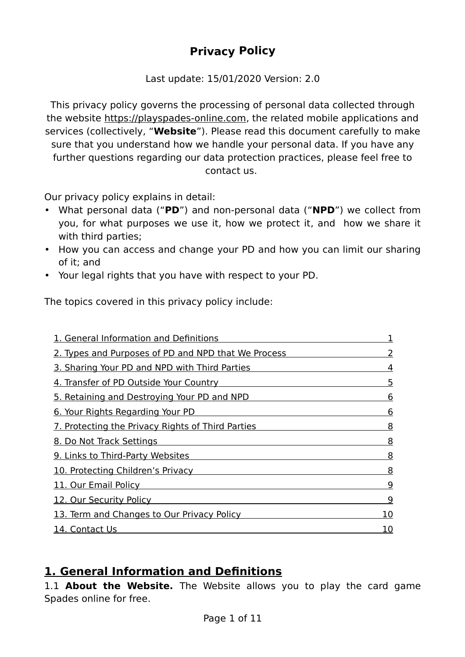# **Privacy Policy**

Last update: 15/01/2020 Version: 2.0

This privacy policy governs the processing of personal data collected through the website [https://playspades-online.com,](https://playspades-online.com/) the related mobile applications and services (collectively, "**Website**"). Please read this document carefully to make sure that you understand how we handle your personal data. If you have any further questions regarding our data protection practices, please feel free to contact us.

Our privacy policy explains in detail:

- What personal data ("**PD**") and non-personal data ("**NPD**") we collect from you, for what purposes we use it, how we protect it, and how we share it with third parties;
- How you can access and change your PD and how you can limit our sharing of it; and
- Your legal rights that you have with respect to your PD.

The topics covered in this privacy policy include:

| 1. General Information and Definitions              |    |
|-----------------------------------------------------|----|
| 2. Types and Purposes of PD and NPD that We Process |    |
| 3. Sharing Your PD and NPD with Third Parties       | 4  |
| 4. Transfer of PD Outside Your Country              | 5  |
| 5. Retaining and Destroying Your PD and NPD         | 6  |
| 6. Your Rights Regarding Your PD                    | 6  |
| 7. Protecting the Privacy Rights of Third Parties   | 8  |
| 8. Do Not Track Settings                            | 8  |
| 9. Links to Third-Party Websites                    | 8  |
| 10. Protecting Children's Privacy                   | 8  |
| 11. Our Email Policy                                | 9  |
| 12. Our Security Policy                             | 9  |
| 13. Term and Changes to Our Privacy Policy          | 10 |
| 14. Contact Us                                      | 10 |

## **1. General Information and Definitions**

1.1 **About the Website.** The Website allows you to play the card game Spades online for free.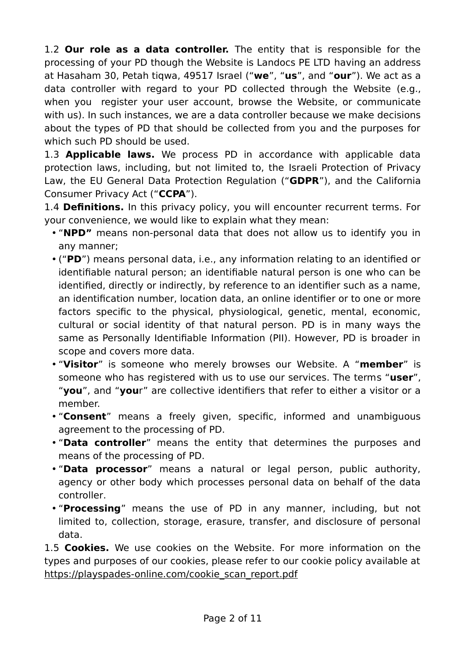1.2 **Our role as a data controller.** The entity that is responsible for the processing of your PD though the Website is Landocs PE LTD having an address at Hasaham 30, Petah tiqwa, 49517 Israel ("**we**", "**us**", and "**our**"). We act as a data controller with regard to your PD collected through the Website (e.g., when you register your user account, browse the Website, or communicate with us). In such instances, we are a data controller because we make decisions about the types of PD that should be collected from you and the purposes for which such PD should be used.

1.3 **Applicable laws.** We process PD in accordance with applicable data protection laws, including, but not limited to, the Israeli Protection of Privacy Law, the EU General Data Protection Regulation ("**GDPR**"), and the California Consumer Privacy Act ("**CCPA**").

1.4 **Definitions.** In this privacy policy, you will encounter recurrent terms. For your convenience, we would like to explain what they mean:

- "**NPD"** means non-personal data that does not allow us to identify you in any manner;
- ("**PD**") means personal data, i.e., any information relating to an identified or identifiable natural person; an identifiable natural person is one who can be identified, directly or indirectly, by reference to an identifier such as a name, an identification number, location data, an online identifier or to one or more factors specific to the physical, physiological, genetic, mental, economic, cultural or social identity of that natural person. PD is in many ways the same as Personally Identifiable Information (PII). However, PD is broader in scope and covers more data.
- "**Visitor**" is someone who merely browses our Website. A "**member**" is someone who has registered with us to use our services. The terms "**user**", "**you**", and "**you**r" are collective identifiers that refer to either a visitor or a member.
- "**Consent**" means a freely given, specific, informed and unambiguous agreement to the processing of PD.
- "**Data controller**" means the entity that determines the purposes and means of the processing of PD.
- "**Data processor**" means a natural or legal person, public authority, agency or other body which processes personal data on behalf of the data controller.
- "**Processing**" means the use of PD in any manner, including, but not limited to, collection, storage, erasure, transfer, and disclosure of personal data.

1.5 **Cookies.** We use cookies on the Website. For more information on the types and purposes of our cookies, please refer to our cookie policy available at [https://playspades-online.com/cookie\\_scan\\_report.pdf](https://playspades-online.com/cookie_scan_report.pdf)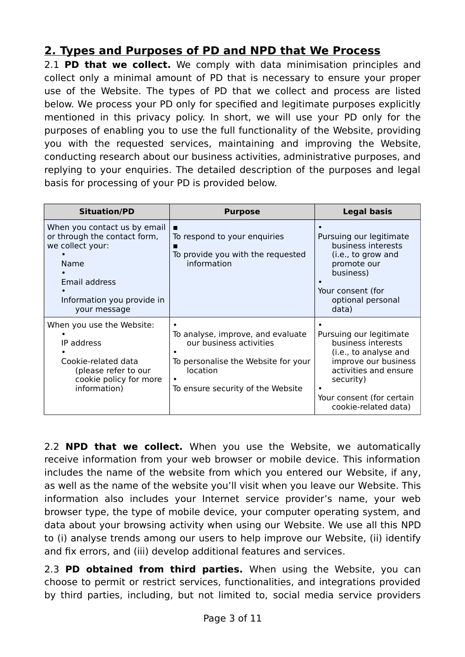## **2. Types and Purposes of PD and NPD that WeProcess**

2.1 **PD that we collect.** We comply with data minimisation principles and collect only a minimal amount of PD that is necessary to ensure your proper use of the Website. The types of PD that we collect and process are listed below. We process your PD only for specified and legitimate purposes explicitly mentioned in this privacy policy. In short, we will use your PD only for the purposes of enabling you to use the full functionality of the Website, providing you with the requested services, maintaining and improving the Website, conducting research about our business activities, administrative purposes, and replying to your enquiries. The detailed description of the purposes and legal basis for processing of your PD is provided below.

| <b>Situation/PD</b>                                                                                                                                     | <b>Purpose</b>                                                                                                                                       | <b>Legal basis</b>                                                                                                                                                                        |
|---------------------------------------------------------------------------------------------------------------------------------------------------------|------------------------------------------------------------------------------------------------------------------------------------------------------|-------------------------------------------------------------------------------------------------------------------------------------------------------------------------------------------|
| When you contact us by email<br>or through the contact form,<br>we collect your:<br>Name<br>Email address<br>Information you provide in<br>your message | ■<br>To respond to your enquiries<br>To provide you with the requested<br>information                                                                | Pursuing our legitimate<br>business interests<br>(i.e., to grow and<br>promote our<br>business)<br>Your consent (for<br>optional personal<br>data)                                        |
| When you use the Website:<br>IP address<br>Cookie-related data<br>(please refer to our<br>cookie policy for more<br>information)                        | To analyse, improve, and evaluate<br>our business activities<br>To personalise the Website for your<br>location<br>To ensure security of the Website | Pursuing our legitimate<br>business interests<br>(i.e., to analyse and<br>improve our business<br>activities and ensure<br>security)<br>Your consent (for certain<br>cookie-related data) |

2.2 **NPD that we collect.** When you use the Website, we automatically receive information from your web browser or mobile device. This information includes the name of the website from which you entered our Website, if any, as well as the name of the website you'll visit when you leave our Website. This information also includes your Internet service provider's name, your web browser type, the type of mobile device, your computer operating system, and data about your browsing activity when using our Website. We use all this NPD to (i) analyse trends among our users to help improve our Website, (ii) identify and fix errors, and (iii) develop additional features and services.

2.3 **PD obtained from third parties.** When using the Website, you can choose to permit or restrict services, functionalities, and integrations provided by third parties, including, but not limited to, social media service providers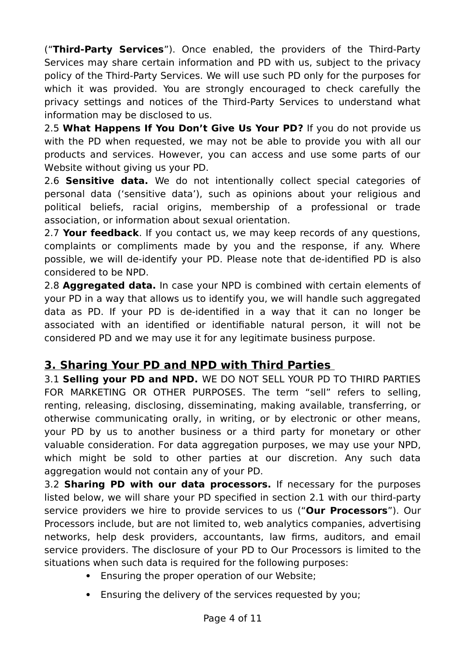("**Third-Party Services**"). Once enabled, the providers of the Third-Party Services may share certain information and PD with us, subject to the privacy policy of the Third-Party Services. We will use such PD only for the purposes for which it was provided. You are strongly encouraged to check carefully the privacy settings and notices of the Third-Party Services to understand what information may be disclosed to us.

2.5 **What Happens If You Don't Give Us Your PD?** If you do not provide us with the PD when requested, we may not be able to provide you with all our products and services. However, you can access and use some parts of our Website without giving us your PD.

2.6 **Sensitive data.** We do not intentionally collect special categories of personal data ('sensitive data'), such as opinions about your religious and political beliefs, racial origins, membership of a professional or trade association, or information about sexual orientation.

2.7 **Your feedback**. If you contact us, we may keep records of any questions, complaints or compliments made by you and the response, if any. Where possible, we will de-identify your PD. Please note that de-identified PD is also considered to be NPD.

2.8 **Aggregated data.** In case your NPD is combined with certain elements of your PD in a way that allows us to identify you, we will handle such aggregated data as PD. If your PD is de-identified in a way that it can no longer be associated with an identified or identifiable natural person, it will not be considered PD and we may use it for any legitimate business purpose.

### **3. Sharing Your PD and NPD with Third Parties**

3.1 **Selling your PD and NPD.** WE DO NOT SELL YOUR PD TO THIRD PARTIES FOR MARKETING OR OTHER PURPOSES. The term "sell" refers to selling, renting, releasing, disclosing, disseminating, making available, transferring, or otherwise communicating orally, in writing, or by electronic or other means, your PD by us to another business or a third party for monetary or other valuable consideration. For data aggregation purposes, we may use your NPD, which might be sold to other parties at our discretion. Any such data aggregation would not contain any of your PD.

3.2 **Sharing PD with our data processors.** If necessary for the purposes listed below, we will share your PD specified in section 2.1 with our third-party service providers we hire to provide services to us ("**Our Processors**"). Our Processors include, but are not limited to, web analytics companies, advertising networks, help desk providers, accountants, law firms, auditors, and email service providers. The disclosure of your PD to Our Processors is limited to the situations when such data is required for the following purposes:

- · Ensuring the proper operation of our Website;
- Ensuring the delivery of the services requested by you;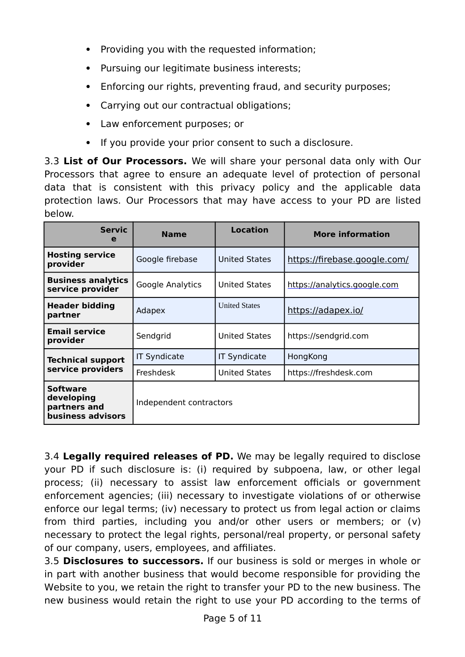- · Providing you with the requested information;
- · Pursuing our legitimate business interests;
- · Enforcing our rights, preventing fraud, and security purposes;
- · Carrying out our contractual obligations;
- · Law enforcement purposes; or
- · If you provide your prior consent to such a disclosure.

3.3 **List of Our Processors.** We will share your personal data only with Our Processors that agree to ensure an adequate level of protection of personal data that is consistent with this privacy policy and the applicable data protection laws. Our Processors that may have access to your PD are listed below.

| <b>Servic</b><br>е                                                 | <b>Name</b>             | <b>Location</b>      | <b>More information</b>      |
|--------------------------------------------------------------------|-------------------------|----------------------|------------------------------|
| <b>Hosting service</b><br>provider                                 | Google firebase         | <b>United States</b> | https://firebase.google.com/ |
| <b>Business analytics</b><br>service provider                      | Google Analytics        | <b>United States</b> | https://analytics.google.com |
| <b>Header bidding</b><br>partner                                   | Adapex                  | <b>United States</b> | https://adapex.io/           |
| <b>Email service</b><br>provider                                   | Sendgrid                | <b>United States</b> | https://sendgrid.com         |
| <b>Technical support</b><br>service providers                      | <b>IT Syndicate</b>     | <b>IT Syndicate</b>  | HongKong                     |
|                                                                    | Freshdesk               | <b>United States</b> | https://freshdesk.com        |
| <b>Software</b><br>developing<br>partners and<br>business advisors | Independent contractors |                      |                              |

3.4 **Legally required releases of PD.** We may be legally required to disclose your PD if such disclosure is: (i) required by subpoena, law, or other legal process; (ii) necessary to assist law enforcement officials or government enforcement agencies; (iii) necessary to investigate violations of or otherwise enforce our legal terms; (iv) necessary to protect us from legal action or claims from third parties, including you and/or other users or members; or (v) necessary to protect the legal rights, personal/real property, or personal safety of our company, users, employees, and affiliates.

3.5 **Disclosures to successors.** If our business is sold or merges in whole or in part with another business that would become responsible for providing the Website to you, we retain the right to transfer your PD to the new business. The new business would retain the right to use your PD according to the terms of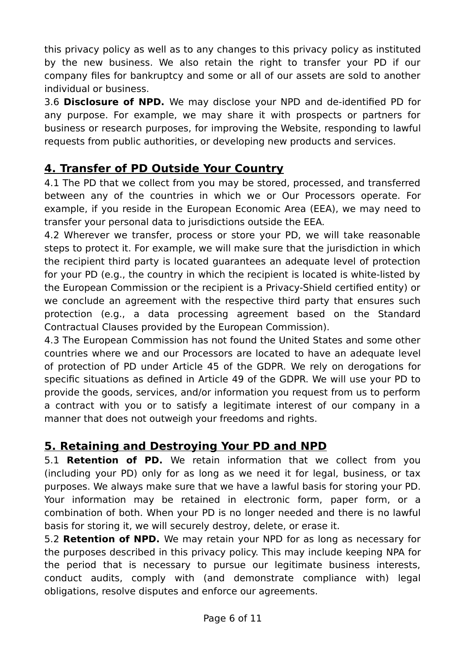this privacy policy as well as to any changes to this privacy policy as instituted by the new business. We also retain the right to transfer your PD if our company files for bankruptcy and some or all of our assets are sold to another individual or business.

3.6 **Disclosure of NPD.** We may disclose your NPD and de-identified PD for any purpose. For example, we may share it with prospects or partners for business or research purposes, for improving the Website, responding to lawful requests from public authorities, or developing new products and services.

## **4. Transfer of PD Outside Your Country**

4.1 The PD that we collect from you may be stored, processed, and transferred between any of the countries in which we or Our Processors operate. For example, if you reside in the European Economic Area (EEA), we may need to transfer your personal data to jurisdictions outside the EEA.

4.2 Wherever we transfer, process or store your PD, we will take reasonable steps to protect it. For example, we will make sure that the jurisdiction in which the recipient third party is located guarantees an adequate level of protection for your PD (e.g., the country in which the recipient is located is white-listed by the European Commission or the recipient is a Privacy-Shield certified entity) or we conclude an agreement with the respective third party that ensures such protection (e.g., a data processing agreement based on the Standard Contractual Clauses provided by the European Commission).

4.3 The European Commission has not found the United States and some other countries where we and our Processors are located to have an adequate level of protection of PD under Article 45 of the GDPR. We rely on derogations for specific situations as defined in Article 49 of the GDPR. We will use your PD to provide the goods, services, and/or information you request from us to perform a contract with you or to satisfy a legitimate interest of our company in a manner that does not outweigh your freedoms and rights.

## **5. Retaining and Destroying Your PD and NPD**

5.1 **Retention of PD.** We retain information that we collect from you (including your PD) only for as long as we need it for legal, business, or tax purposes. We always make sure that we have a lawful basis for storing your PD. Your information may be retained in electronic form, paper form, or a combination of both. When your PD is no longer needed and there is no lawful basis for storing it, we will securely destroy, delete, or erase it.

5.2 **Retention of NPD.** We may retain your NPD for as long as necessary for the purposes described in this privacy policy. This may include keeping NPA for the period that is necessary to pursue our legitimate business interests, conduct audits, comply with (and demonstrate compliance with) legal obligations, resolve disputes and enforce our agreements.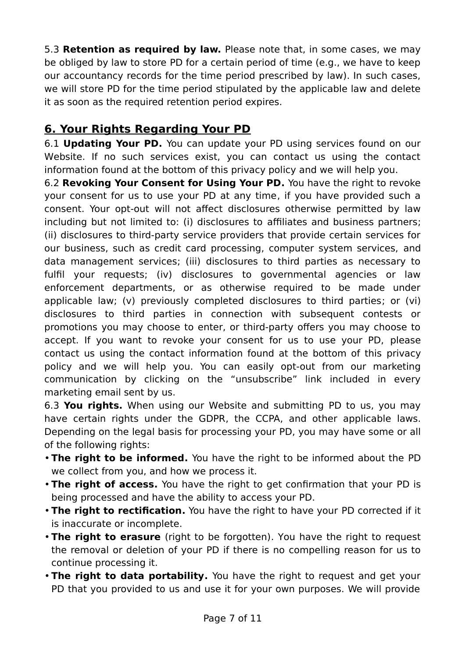5.3 **Retention as required by law.** Please note that, in some cases, we may be obliged by law to store PD for a certain period of time (e.g., we have to keep our accountancy records for the time period prescribed by law). In such cases, we will store PD for the time period stipulated by the applicable law and delete it as soon as the required retention period expires.

### **6. Your Rights Regarding Your PD**

6.1 **Updating Your PD.** You can update your PD using services found on our Website. If no such services exist, you can contact us using the contact information found at the bottom of this privacy policy and we will help you.

6.2 **Revoking Your Consent for Using Your PD.** You have the right to revoke your consent for us to use your PD at any time, if you have provided such a consent. Your opt-out will not affect disclosures otherwise permitted by law including but not limited to: (i) disclosures to affiliates and business partners; (ii) disclosures to third-party service providers that provide certain services for our business, such as credit card processing, computer system services, and data management services; (iii) disclosures to third parties as necessary to fulfil your requests; (iv) disclosures to governmental agencies or law enforcement departments, or as otherwise required to be made under applicable law; (v) previously completed disclosures to third parties; or (vi) disclosures to third parties in connection with subsequent contests or promotions you may choose to enter, or third-party offers you may choose to accept. If you want to revoke your consent for us to use your PD, please contact us using the contact information found at the bottom of this privacy policy and we will help you. You can easily opt-out from our marketing communication by clicking on the "unsubscribe" link included in every marketing email sent by us.

6.3 **You rights.** When using our Website and submitting PD to us, you may have certain rights under the GDPR, the CCPA, and other applicable laws. Depending on the legal basis for processing your PD, you may have some or all of the following rights:

- •**The right to be informed.** You have the right to be informed about the PD we collect from you, and how we process it.
- •**The right of access.** You have the right to get confirmation that your PD is being processed and have the ability to access your PD.
- •**The right to rectification.** You have the right to have your PD corrected if it is inaccurate or incomplete.
- •**The right to erasure** (right to be forgotten). You have the right to request the removal or deletion of your PD if there is no compelling reason for us to continue processing it.
- •**The right to data portability.** You have the right to request and get your PD that you provided to us and use it for your own purposes. We will provide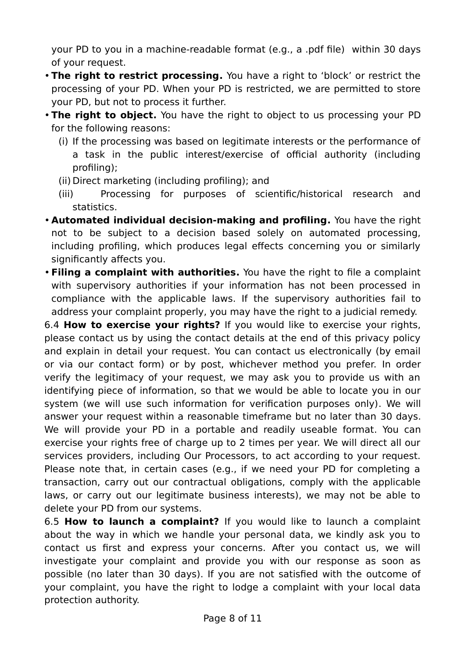your PD to you in a machine-readable format (e.g., a .pdf file) within 30 days of your request.

- •**The right to restrict processing.** You have a right to 'block' or restrict the processing of your PD. When your PD is restricted, we are permitted to store your PD, but not to process it further.
- •**The right to object.** You have the right to object to us processing your PD for the following reasons:
	- (i) If the processing was based on legitimate interests or the performance of a task in the public interest/exercise of official authority (including profiling);
	- (ii) Direct marketing (including profiling); and
	- (iii) Processing for purposes of scientific/historical research and statistics.
- **Automated individual decision-making and profiling.** You have the right not to be subject to a decision based solely on automated processing, including profiling, which produces legal effects concerning you or similarly significantly affects you.
- •**Filing a complaint with authorities.** You have the right to file a complaint with supervisory authorities if your information has not been processed in compliance with the applicable laws. If the supervisory authorities fail to address your complaint properly, you may have the right to a judicial remedy.

6.4 **How to exercise your rights?** If you would like to exercise your rights, please contact us by using the contact details at the end of this privacy policy and explain in detail your request. You can contact us electronically (by email or via our contact form) or by post, whichever method you prefer. In order verify the legitimacy of your request, we may ask you to provide us with an identifying piece of information, so that we would be able to locate you in our system (we will use such information for verification purposes only). We will answer your request within a reasonable timeframe but no later than 30 days. We will provide your PD in a portable and readily useable format. You can exercise your rights free of charge up to 2 times per year. We will direct all our services providers, including Our Processors, to act according to your request. Please note that, in certain cases (e.g., if we need your PD for completing a transaction, carry out our contractual obligations, comply with the applicable laws, or carry out our legitimate business interests), we may not be able to delete your PD from our systems.

6.5 **How to launch a complaint?** If you would like to launch a complaint about the way in which we handle your personal data, we kindly ask you to contact us first and express your concerns. After you contact us, we will investigate your complaint and provide you with our response as soon as possible (no later than 30 days). If you are not satisfied with the outcome of your complaint, you have the right to lodge a complaint with your local data protection authority.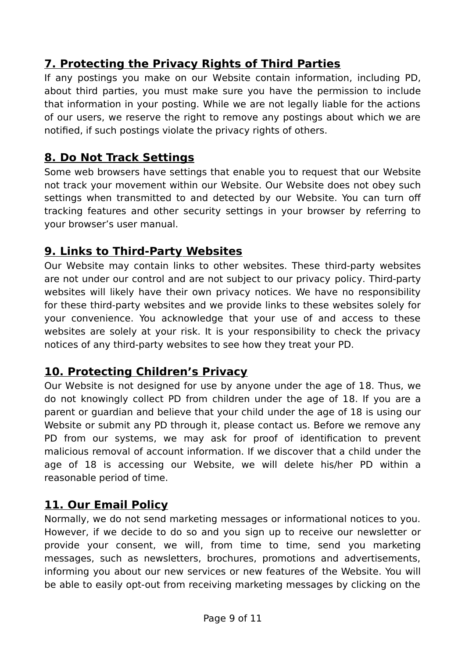# **7.Protecting the Privacy Rights of Third Parties**

If any postings you make on our Website contain information, including PD, about third parties, you must make sure you have the permission to include that information in your posting. While we are not legally liable for the actions of our users, we reserve the right to remove any postings about which we are notified, if such postings violate the privacy rights of others.

## **8.Do Not Track Settings**

Some web browsers have settings that enable you to request that our Website not track your movement within our Website. Our Website does not obey such settings when transmitted to and detected by our Website. You can turn off tracking features and other security settings in your browser by referring to your browser's user manual.

### **9. Links to Third-Party Websites**

Our Website may contain links to other websites. These third-party websites are not under our control and are not subject to our privacy policy. Third-party websites will likely have their own privacy notices. We have no responsibility for these third-party websites and we provide links to these websites solely for your convenience. You acknowledge that your use of and access to these websites are solely at your risk. It is your responsibility to check the privacy notices of any third-party websites to see how they treat your PD.

### **10. Protecting Children's Privacy**

Our Website is not designed for use by anyone under the age of 18. Thus, we do not knowingly collect PD from children under the age of 18. If you are a parent or guardian and believe that your child under the age of 18 is using our Website or submit any PD through it, please contact us. Before we remove any PD from our systems, we may ask for proof of identification to prevent malicious removal of account information. If we discover that a child under the age of 18 is accessing our Website, we will delete his/her PD within a reasonable period of time.

### **11.Our Email Policy**

Normally, we do not send marketing messages or informational notices to you. However, if we decide to do so and you sign up to receive our newsletter or provide your consent, we will, from time to time, send you marketing messages, such as newsletters, brochures, promotions and advertisements, informing you about our new services or new features of the Website. You will be able to easily opt-out from receiving marketing messages by clicking on the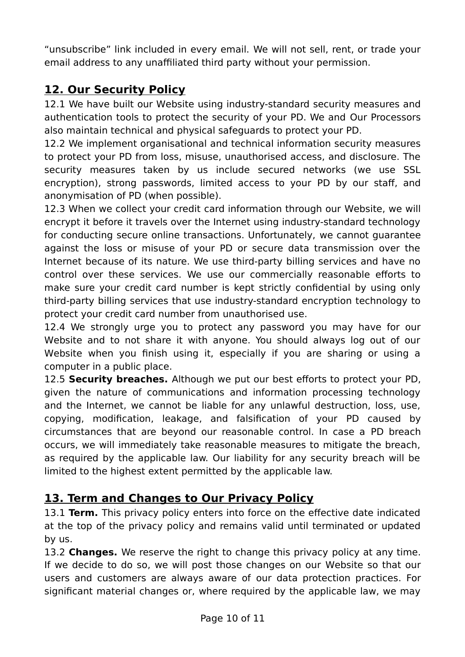"unsubscribe" link included in every email. We will not sell, rent, or trade your email address to any unaffiliated third party without your permission.

## **12. Our Security Policy**

12.1 We have built our Website using industry-standard security measures and authentication tools to protect the security of your PD. We and Our Processors also maintain technical and physical safeguards to protect your PD.

12.2 We implement organisational and technical information security measures to protect your PD from loss, misuse, unauthorised access, and disclosure. The security measures taken by us include secured networks (we use SSL encryption), strong passwords, limited access to your PD by our staff, and anonymisation of PD (when possible).

12.3 When we collect your credit card information through our Website, we will encrypt it before it travels over the Internet using industry-standard technology for conducting secure online transactions. Unfortunately, we cannot guarantee against the loss or misuse of your PD or secure data transmission over the Internet because of its nature. We use third-party billing services and have no control over these services. We use our commercially reasonable efforts to make sure your credit card number is kept strictly confidential by using only third-party billing services that use industry-standard encryption technology to protect your credit card number from unauthorised use.

12.4 We strongly urge you to protect any password you may have for our Website and to not share it with anyone. You should always log out of our Website when you finish using it, especially if you are sharing or using a computer in a public place.

12.5 **Security breaches.** Although we put our best efforts to protect your PD, given the nature of communications and information processing technology and the Internet, we cannot be liable for any unlawful destruction, loss, use, copying, modification, leakage, and falsification of your PD caused by circumstances that are beyond our reasonable control. In case a PD breach occurs, we will immediately take reasonable measures to mitigate the breach, as required by the applicable law. Our liability for any security breach will be limited to the highest extent permitted by the applicable law.

### **13. Term and Changes to Our Privacy Policy**

13.1 **Term.** This privacy policy enters into force on the effective date indicated at the top of the privacy policy and remains valid until terminated or updated by us.

13.2 **Changes.** We reserve the right to change this privacy policy at any time. If we decide to do so, we will post those changes on our Website so that our users and customers are always aware of our data protection practices. For significant material changes or, where required by the applicable law, we may